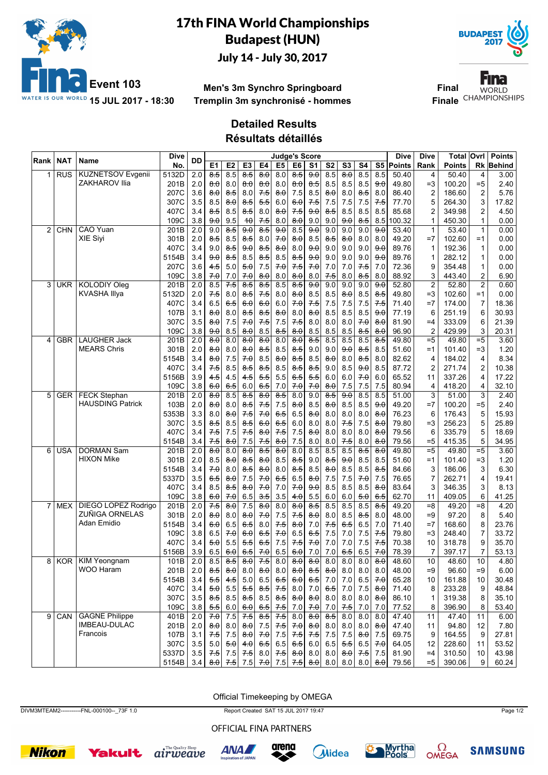

## 17th FINA World Championships Budapest (HUN) July 14 - July 30, 2017



**Men's 3m Synchro Springboard Tremplin 3m synchronisé - hommes**

Fina **Final WORLD Finale** CHAMPIONSHIPS

## **Detailed Results**

**Résultats détaillés**

| Rank           | NAT        | Name                       | <b>Dive</b> | <b>DD</b>        |                     |                     |                     |                     | <b>Judge's Score</b> |                     |                     |                     |                             |                     |                     | Dive      | <b>Dive</b>             | Total  | Ovrl           | <b>Points</b> |
|----------------|------------|----------------------------|-------------|------------------|---------------------|---------------------|---------------------|---------------------|----------------------|---------------------|---------------------|---------------------|-----------------------------|---------------------|---------------------|-----------|-------------------------|--------|----------------|---------------|
|                |            |                            | No.         |                  | E <sub>1</sub>      | E <sub>2</sub>      | E <sub>3</sub>      | E4                  | E <sub>5</sub>       | E <sub>6</sub>      | S <sub>1</sub>      | S <sub>2</sub>      | S3                          | S4                  |                     | S5 Points | Rank                    | Points | Rk             | <b>Behind</b> |
|                | <b>RUS</b> | <b>KUZNETSOV Evgenii</b>   | 5132D       | 2.0              | 8.5                 | 8.5                 | 8.5                 | 8.0                 | 8.0                  | $\overline{8.5}$    | 9.0                 | 8.5                 | $\overline{8.0}$            | 8.5                 | 8.5                 | 50.40     | 4                       | 50.40  | 4              | 3.00          |
|                |            | ZAKHAROV Ilia              | 201B        | 2.0              | $\theta$ $\theta$   | 8.0                 | $\theta$ . $\theta$ | $\theta$ . $\theta$ | 8.0                  | 8.0                 | 8.5                 | 8.5                 | 8.5                         | 8.5                 | 9.0                 | 49.80     | $=3$                    | 100.20 | $= 5$          | 2.40          |
|                |            |                            | 207C        | 3.6              | 8.0                 | 8.5                 | 8.0                 | 7.5                 | 8.0                  | 7.5                 | 8.5                 | 8.0                 | 8.0                         | 8.5                 | 8.0                 | 86.40     | $\overline{c}$          | 186.60 | $\overline{c}$ | 5.76          |
|                |            |                            | 307C        | 3.5              | 8.5                 | $\theta$ . $\theta$ | 8.5                 | 5.5                 | 6.0                  | 6.0                 | 7.5                 | 7.5                 | 7.5                         | 7.5                 | 7.5                 | 77.70     | 5                       | 264.30 | 3              | 17.82         |
|                |            |                            | 407C        | 3.4              | ୫ 5                 | 8.5                 | 8.5                 | 8.0                 | 8.0                  | 7.5                 | 9.0                 | 8.5                 | 8.5                         | 8.5                 | 8.5                 | 85.68     | 2                       | 349.98 | 2              | 4.50          |
|                |            |                            | 109C        | 3.8              | <del>9.0</del>      | 9.5                 | 40                  | 7.5                 | 8.0                  | 8.0                 | 9.0                 | 9.0                 | 9.0                         | 8.5                 | 8.5                 | 100.32    | 1                       | 450.30 | 1              | 0.00          |
| $\overline{2}$ | <b>CHN</b> | <b>CAO Yuan</b>            | 201B        | 2.0              | 9.0                 | $\overline{8.5}$    | 90                  | $\overline{8.5}$    | 90                   | 8.5                 | 90                  | 9.0                 | 9.0                         | 9.0                 | $\overline{9.0}$    | 53.40     | $\mathbf{1}$            | 53.40  | $\mathbf{1}$   | 0.00          |
|                |            | XIE Siyi                   | 301B        | 2.0              | ୫ 5                 | 8.5                 | 8.5                 | 8.0                 | 70                   | $\theta$ . $\theta$ | 8.5                 | 8.5                 | $\theta$ . $\theta$         | 8.0                 | 8.0                 | 49.20     | $=7$                    | 102.60 | $=1$           | 0.00          |
|                |            |                            | 407C        | 3.4              | 9.0                 | 8.5                 | 9.0                 | 8.5                 | 8.0                  | 8.0                 | 9.0                 | 9.0                 | 9.0                         | 9.0                 | 9.0                 | 89.76     | 1                       | 192.36 | 1              | 0.00          |
|                |            |                            | 5154B       | 3.4              | <del>9.0</del>      | $8-5$               | 8.5                 | 8.5                 | 8.5                  | 8.5                 | 9.0                 | 9.0                 | 9.0                         | 9.0                 | 9.0                 | 89.76     | 1                       | 282.12 | 1              | 0.00          |
|                |            |                            | 207C        | 3.6              | 45                  | 5.0                 | 5.0                 | 7.5                 | 70                   | 7.5                 | 70                  | 7.0                 | $7.0\,$                     | 7.5                 | 7.0                 | 72.36     | 9                       | 354.48 | 1              | 0.00          |
|                |            |                            | 109C        | 3.8              | 7.0                 | 7.0                 | 70                  | 8.0                 | 8.0                  | 8.0                 | 8.0                 | 7.5                 | 8.0                         | 8.5                 | 8.0                 | 88.92     | 3                       | 443.40 | 2              | 6.90          |
| 3              | <b>UKR</b> | <b>KOLODIY Oleg</b>        | 201B        | $\overline{2.0}$ | 8.5                 | $7-5$               | $\overline{8.5}$    | $\overline{85}$     | 8.5                  | $\overline{8.5}$    | 90                  | 9.0                 | 9.0                         | 9.0                 | $\overline{9.0}$    | 52.80     | $\overline{\mathbf{c}}$ | 52.80  | $\overline{2}$ | 0.60          |
|                |            | <b>KVASHA Illya</b>        | 5132D       | 2.0              | 7.5                 | 8.0                 | 8.5                 | $7-5$               | 8.0                  | 8.0                 | 8.5                 | 8.5                 | $\theta$ . $\theta$         | 8.5                 | 8.5                 | 49.80     | $=3$                    | 102.60 | $=1$           | 0.00          |
|                |            |                            | 407C        | 3.4              | 6.5                 | 6.5                 | 6.0                 | 6.0                 | 6.0                  | 7.0                 | 7.5                 | 7.5                 | 7.5                         | 7.5                 | 7.5                 | 71.40     | $=7$                    | 174.00 | 7              | 18.36         |
|                |            |                            | 107B        | 3.1              | 8.0                 | 8.0                 | 8.5                 | 8.5                 | 8.0                  | 8.0                 | 8.0                 | 8.5                 | 8.5                         | 8.5                 | 9.0                 | 77.19     | 6                       | 251.19 | 6              | 30.93         |
|                |            |                            | 307C        | 3.5              | $\theta$ $\theta$   | 7.5                 | 7.0                 | 7.5                 | 7.5                  | 7.5                 | 8.0                 | 8.0                 | 8.0                         | 70                  | $\theta$ . $\theta$ | 81.90     | $=4$                    | 333.09 | 6              | 21.39         |
|                |            |                            | 109C        | 3.8              | <del>9.0</del>      | 8.5                 | 8.0                 | 8.5                 | 8.5                  | 8.0                 | 8.5                 | 8.5                 | 8.5                         | 8.5                 | 8.0                 | 96.90     | $\overline{2}$          | 429.99 | 3              | 20.31         |
| 4              | <b>GBR</b> | <b>LAUGHER Jack</b>        | 201B        | $\overline{2.0}$ | 8.0                 | 8.0                 | 8.0                 | $\overline{80}$     | 8.0                  | 8.0                 | $\overline{8.5}$    | 8.5                 | 8.5                         | 8.5                 | $\overline{8.5}$    | 49.80     | $=5$                    | 49.80  | $= 5$          | 3.60          |
|                |            | <b>MEARS Chris</b>         | 301B        | 2.0              | $\theta$ $\theta$   | 8.0                 | $\theta$ . $\theta$ | 8.5                 | 8.5                  | 8.5                 | 9.0                 | 9.0                 | 9.0                         | 8.5                 | 8.5                 | 51.60     | $=1$                    | 101.40 | $=3$           | 1.20          |
|                |            |                            | 5154B       | 3.4              | 8.0                 | 7.5                 | 7.0                 | 8.5                 | 8.0                  | 8.5                 | 8.5                 | 8.0                 | 8.0                         | 8.5                 | 8.0                 | 82.62     | 4                       | 184.02 | 4              | 8.34          |
|                |            |                            | 407C        | 3.4              | 7.5                 | 8.5                 | 8.5                 | 8.5                 | 8.5                  | 8.5                 | 8.5                 | 9.0                 | 8.5                         | 9.0                 | 8.5                 | 87.72     | $\overline{c}$          | 271.74 | 2              | 10.38         |
|                |            |                            | 5156B       | 3.9              | 45                  | 4.5                 | 45                  | 5.5                 | 5.5                  | 6.5                 | 5.5                 | 6.0                 | 6.0                         | 70                  | 6.0                 | 65.52     | 11                      | 337.26 | 4              | 17.22         |
|                |            |                            | 109C        | 3.8              | <del>6.0</del>      | <del>6.5</del>      | 6.0                 | 6.5                 | 7.0                  | 70                  | 7.0                 | 8.0                 | 7.5                         | 7.5                 | 7.5                 | 80.94     | 4                       | 418.20 | 4              | 32.10         |
| 5              | <b>GER</b> | <b>FECK Stephan</b>        | 201B        | $\overline{2.0}$ | 8.0                 | 8.5                 | $\overline{8.5}$    | $\overline{80}$     | 8.5                  | 8.0                 | 9.0                 | $\overline{8.5}$    | $\frac{9}{4}$               | 8.5                 | 8.5                 | 51.00     | 3                       | 51.00  | 3              | 2.40          |
|                |            | <b>HAUSDING Patrick</b>    | 103B        | 2.0              | $\theta$ $\theta$   | 8.0                 | 8.5                 | 7.5                 | 7.5                  | $\theta$ . $\theta$ | 8.5                 | 8.0                 | 8.5                         | 8.5                 | 9.0                 | 49.20     | $=7$                    | 100.20 | $= 5$          | 2.40          |
|                |            |                            | 5353B       | 3.3              | 8.0                 | 8.0                 | 7.5                 | 70                  | 6.5                  | 6.5                 | 8.0                 | 8.0                 | 8.0                         | 8.0                 | 8.0                 | 76.23     | 6                       | 176.43 | 5              | 15.93         |
|                |            |                            | 307C        | 3.5              | 8.5                 | 8.5                 | 8.5                 | 6.0                 | 6.5                  | 6.0                 | 8.0                 | 8.0                 | 7.5                         | 7.5                 | 8.0                 | 79.80     | $=3$                    | 256.23 | 5              | 25.89         |
|                |            |                            | 407C        | 3.4              | 75                  | 7.5                 | 7.5                 | $\theta$ . $\theta$ | 7.5                  | 7.5                 | 8.0                 | 8.0                 | 8.0                         | 8.0                 | $\theta$ . $\theta$ | 79.56     | 6                       | 335.79 | 5              | 18.69         |
|                |            |                            | 5154B       | 3.4              | 7.5                 | 8.0                 | 7.5                 | 7.5                 | 8.0                  | 7.5                 | 8.0                 | 8.0                 | 7.5                         | 8.0                 | 8.0                 | 79.56     | $= 5$                   | 415.35 | 5              | 34.95         |
| 6              | USA        | <b>DORMAN Sam</b>          | 201B        | $\overline{2.0}$ | $\overline{8.0}$    | 8.0                 | 8.0                 | 8.5                 | $\overline{80}$      | 8.0                 | 8.5                 | 8.5                 | 8.5                         | $\overline{8.5}$    | $\overline{8.0}$    | 49.80     | $= 5$                   | 49.80  | $\overline{5}$ | 3.60          |
|                |            | <b>HIXON Mike</b>          | 301B        | 2.0              | 8.5                 | $\theta$ . $\theta$ | 8.5                 | 8.0                 | 8.5                  | 8.5                 | 9.0                 | 8.5                 | 9.0                         | 8.5                 | 8.5                 | 51.60     | $=1$                    | 101.40 | $=3$           | 1.20          |
|                |            |                            | 5154B       | 3.4              | 7.0                 | 8.0                 | 8.5                 | 8.0                 | 8.0                  | 8.5                 | 8.5                 | 8.0                 | 8.5                         | 8.5                 | 8.5                 | 84.66     | 3                       | 186.06 | 3              | 6.30          |
|                |            |                            | 5337D       | 3.5              | 6.5                 | 8.0                 | 7.5                 | 7.0                 | 6.5                  | 6.5                 | 8.0                 | 7.5                 | 7.5                         | 70                  | 7.5                 | 76.65     | 7                       | 262.71 | 4              | 19.41         |
|                |            |                            | 407C        | 3.4              | 8.5                 | 8.5                 | 8.0                 | 70                  | 7.0                  | 70                  | 9.0                 | 8.5                 | 8.5                         | 8.5                 | $\theta$ . $\theta$ | 83.64     | 3                       | 346.35 | 3              | 8.13          |
|                |            |                            | 109C        | 3.8              | <del>6.0</del>      | 70                  | 6.5                 | 3.5                 | 3.5                  | 4.0                 | 5.5                 | 6.0                 | 6.0                         | 5.0                 | 6.5                 | 62.70     | 11                      | 409.05 | 6              | 41.25         |
|                | <b>MEX</b> | <b>DIEGO LOPEZ Rodrigo</b> | 201B        | $\overline{2.0}$ | 7.5                 | 8.0                 | 7.5                 | $\overline{80}$     | 8.0                  | $\overline{8.0}$    | 8.5                 | 8.5                 | 8.5                         | 8.5                 | 85                  | 49.20     | $= 8$                   | 49.20  | $= 8$          | 4.20          |
|                |            | ZUÑIGA ORNELAS             | 301B        | 2.0              | $\theta$ $\theta$   | 8.0                 | 8.0                 | 70                  | 7.5                  | 7.5                 | 8.0                 | 8.0                 | 8.5                         | 8.5                 | 8.0                 | 48.00     | $=9$                    | 97.20  | 8              | 5.40          |
|                |            | Adan Emidio                | 5154B       | 3.4              | 6.0                 | 6.5                 | 6.5                 | 8.0                 | 7.5                  | 8.0                 | 7.0                 | 7.5                 | 6.5                         | 6.5                 | 7.0                 | 71.40     | $=7$                    | 168.60 | 8              | 23.76         |
|                |            |                            | 109C        | 3.8              | 6.5                 | 70                  | 6.0                 | 6.5                 | 7.0                  | 6.5                 | 6.5                 | 7.5                 | 7.0                         | 7.5                 | 7.5                 | 79.80     | $=3$                    | 248.40 | 7              | 33.72         |
|                |            |                            | 407C        | 3.4              | <del>5.0</del>      | 5.5                 | 5.5                 | 6.5                 | 7.5                  | 7.5                 | 70                  | 7.0                 | 7.0                         | 7.5                 | 7.5                 | 70.38     | 10                      | 318.78 | 9              | 35.70         |
|                |            |                            | 5156B       | 3.9              | 6.5                 | 6.0                 | 6.5                 | 7.0                 | 6.5                  | 6.0                 | 7.0                 | 7.0                 | 6.5                         | 6.5                 | 70                  | 78.39     | 7                       | 397.17 | 7              | 53.13         |
| 8              |            | KOR KIM Yeongnam           | 101B        | 2.0              | 8.5                 | 8.5                 | 8.0                 | 7.5                 | 8.0                  | 8.0                 | $\overline{8.0}$    | 8.0                 | 8.0                         | 8.0                 | 8.0                 | 48.60     | 10                      | 48.60  | 10             | 4.80          |
|                |            | WOO Haram                  | 201B        | 2.0              | 8.5                 | $\theta$ . $\theta$ | 8.0                 | 8.0                 | 8.0                  | 8.0                 | 8.5                 | $\theta$ . $\theta$ | 8.0                         | 8.0                 | 8.0                 | 48.00     | $=9$                    | 96.60  | $=9$           | 6.00          |
|                |            |                            | 5154B       | 3.4              | 5.5                 | 4.5                 | $5.0$               | 6.5                 | 6.5                  | 6.0                 | 6.5                 | 7.0                 | 7.0                         | 6.5                 | 70                  | 65.28     | 10                      | 161.88 | 10             | 30.48         |
|                |            |                            | 407C        | 3.4              | 5.0                 | 5.5                 | 5.5                 | 8.5                 | 7.5                  | 8.0                 | 7.0                 | 6.5                 | 7.0                         | $7.5\,$             | 8.0                 | 71.40     | 8                       | 233.28 | 9              | 48.84         |
|                |            |                            | 307C        | 3.5              | 8.5                 | 8.5                 | 8.5                 | 8.5                 | 8.5                  | 8.0                 | 8.0                 | 8.0                 | 8.0                         | 8.0                 | 8.0                 | 86.10     | 1                       | 319.38 | 8              | 35.10         |
|                |            |                            | 109C        | 3.8              | 5.5                 | 6.0                 | 6.0                 | 6.5                 | 7.5                  | 7.0                 | 7.0                 | 7.0                 | 7.5                         | 7.0                 | 7.0                 | 77.52     | 8                       | 396.90 | 8              | 53.40         |
| 9              | CAN        | <b>GAGNE Philippe</b>      | 401B        | 2.0              | 7.0                 | 7.5                 | 7.5                 | 8.5                 | 7.5                  | 8.0                 | $\theta$ . $\theta$ | 8.5                 | 8.0                         | 8.0                 | 8.0                 | 47.40     | 11                      | 47.40  | 11             | 6.00          |
|                |            | IMBEAU-DULAC               | 201B        | 2.0              | $\theta$ . $\theta$ | 8.0                 | $\theta$ $\theta$   | 7.5                 | 7.5                  | 7.0                 | $\theta$ . $\theta$ | 8.0                 | 8.0                         | 8.0                 | 8.0                 | 47.40     | 11                      | 94.80  | 12             | 7.80          |
|                |            | Francois                   | 107B        | 3.1              | 7.5                 | 7.5                 |                     | $8.0$ 7.0           | 7.5                  | 7.5                 | 7.5                 | 7.5                 | 7.5                         | $\theta$ . $\theta$ | 7.5                 | 69.75     | 9                       | 164.55 | 9              | 27.81         |
|                |            |                            | 307C        | 3.5              | 5.0                 | 5.0                 | 4.0                 | 6.5                 | 6.5                  | 6.5                 | 6.0                 | 6.5                 | 5.5                         | 6.5                 | 7.0                 | 64.05     | 12                      | 228.60 | 11             | 53.52         |
|                |            |                            | 5337D       | 3.5              | 7.5                 | 7.5                 | 7.5                 | 8.0                 | $7-5$                | 8.0                 | 8.0                 | 8.0                 | 8.0                         | 7.5                 | 7.5                 | 81.90     | $=4$                    | 310.50 | 10             | 43.98         |
|                |            |                            | 5154B       | 3.4              |                     | 8.0 7.5             |                     |                     | $7.5$ $7.0$ $7.5$    | 7.5                 |                     |                     | $\theta$ . $\theta$ 8.0 8.0 |                     | $8.0 \,   \, 8.0$   | 79.56     | $= 5$                   | 390.06 | 9              | 60.24         |
|                |            |                            |             |                  |                     |                     |                     |                     |                      |                     |                     |                     |                             |                     |                     |           |                         |        |                |               |

Official Timekeeping by OMEGA

DIVM3MTEAM2-----------FNL-000100--\_73F 1.0 Report Created SAT 15 JUL 2017 19:47 Page 1/2

OFFICIAL FINA PARTNERS















**SAMSUNG**